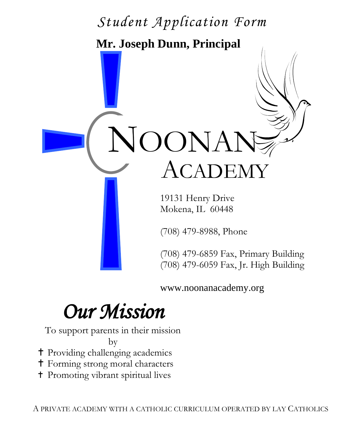# $\Delta$  T  **Mr. Joseph Dunn, Principal** NOONAN ACADEM 19131 Henry Drive Mokena, IL 60448 (708) 479-8988, Phone *Student Application Form*

(708) 479-6859 Fax, Primary Building (708) 479-6059 Fax, Jr. High Building

www.noonanacademy.org

## *Our Mission*

To support parents in their mission

by

- Providing challenging academics
- Forming strong moral characters
- Promoting vibrant spiritual lives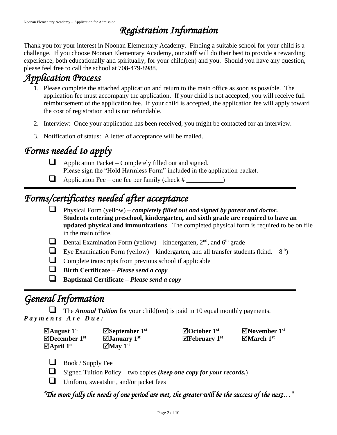## *Registration Information*

Thank you for your interest in Noonan Elementary Academy. Finding a suitable school for your child is a challenge. If you choose Noonan Elementary Academy, our staff will do their best to provide a rewarding experience, both educationally and spiritually, for your child(ren) and you. Should you have any question, please feel free to call the school at 708-479-8988.

## *Application Process*

- 1. Please complete the attached application and return to the main office as soon as possible. The application fee must accompany the application. If your child is not accepted, you will receive full reimbursement of the application fee. If your child is accepted, the application fee will apply toward the cost of registration and is not refundable.
- 2. Interview: Once your application has been received, you might be contacted for an interview.
- 3. Notification of status: A letter of acceptance will be mailed.

## *Forms needed to apply*

- ❑ Application Packet Completely filled out and signed. Please sign the "Hold Harmless Form" included in the application packet.
- $\Box$  Application Fee one fee per family (check  $\#$  \_\_\_\_\_\_\_\_\_)

## *Forms/certificates needed after acceptance*

- ❑ Physical Form (yellow) *completely filled out and signed by parent and doctor.* **Students entering preschool, kindergarten, and sixth grade are required to have an updated physical and immunizations**. The completed physical form is required to be on file in the main office.
- **Dental Examination Form (yellow)** kindergarten,  $2<sup>nd</sup>$ , and  $6<sup>th</sup>$  grade
- Eye Examination Form (yellow) kindergarten, and all transfer students (kind.  $-8^{th}$ )
- ❑ Complete transcripts from previous school if applicable
- ❑ **Birth Certificate –** *Please send a copy*
- ❑ **Baptismal Certificate –** *Please send a copy*

## *General Information*

❑ The *Annual Tuition* for your child(ren) is paid in 10 equal monthly payments. *P a y m e n t s A r e D u e :*

| $\Box$ August 1st      | $\boxdot$ September 1st | $\Box$ October 1st       | $\Box$ November 1st |
|------------------------|-------------------------|--------------------------|---------------------|
| $\boxdot$ December 1st | $\Box$ January 1st      | $\mathbb Z$ February 1st | $\Box$ March 1st    |
| $\Box$ April 1st       | $\Box$ May 1st          |                          |                     |

- $\Box$  Book / Supply Fee
- ❑ Signed Tuition Policy two copies *(keep one copy for your records.*)
- $\Box$  Uniform, sweatshirt, and/or jacket fees

*"The more fully the needs of one period are met, the greater will be the success of the next…"*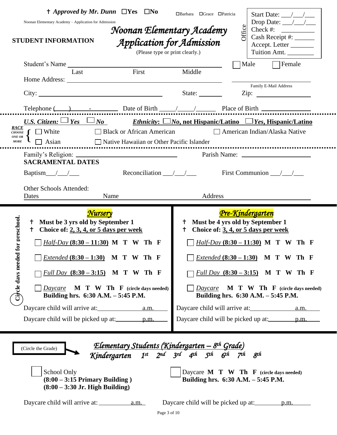| $\dagger$ Approved by Mr. Dunn $\Box$ Yes $\Box$ No<br>Noonan Elementary Academy - Application for Admission<br><b>STUDENT INFORMATION</b>                                                                                                                                                                                                    | Noonan Elementary Academy<br>Application for Admission<br>(Please type or print clearly.)                                             | $\Box$ Grace $\Box$ Patricia<br>□Barbara | Start Date: $\frac{1}{\sqrt{1-\frac{1}{2}}}$<br>Drop Date: $\angle$<br><b>Office</b><br>Check #: $\qquad \qquad$<br>Cash Receipt #: ______<br>Accept. Letter<br>Tuition Amt.                                                                                                                                               |
|-----------------------------------------------------------------------------------------------------------------------------------------------------------------------------------------------------------------------------------------------------------------------------------------------------------------------------------------------|---------------------------------------------------------------------------------------------------------------------------------------|------------------------------------------|----------------------------------------------------------------------------------------------------------------------------------------------------------------------------------------------------------------------------------------------------------------------------------------------------------------------------|
| Student's Name                                                                                                                                                                                                                                                                                                                                | First                                                                                                                                 | Middle                                   | Female<br>Male                                                                                                                                                                                                                                                                                                             |
| Last                                                                                                                                                                                                                                                                                                                                          |                                                                                                                                       |                                          |                                                                                                                                                                                                                                                                                                                            |
| City:                                                                                                                                                                                                                                                                                                                                         |                                                                                                                                       | State:                                   | Family E-Mail Address                                                                                                                                                                                                                                                                                                      |
|                                                                                                                                                                                                                                                                                                                                               |                                                                                                                                       |                                          |                                                                                                                                                                                                                                                                                                                            |
| Telephone $($<br>U.S. Citizen: $\Box$ <u>Yes <math>\Box</math> No</u> Ethnicity: $\Box$ No, not Hispanic/Latino $\Box$ Yes, Hispanic/Latino                                                                                                                                                                                                   |                                                                                                                                       |                                          |                                                                                                                                                                                                                                                                                                                            |
| RACE<br>$\Box$ White<br>CHOOSE<br>ONE OR<br>$\Box$ Asian<br>$MORE$<br><b>SACRAMENTAL DATES</b>                                                                                                                                                                                                                                                | □ Black or African American<br>Native Hawaiian or Other Pacific Islander                                                              |                                          | □ American Indian/Alaska Native<br>---------------------------                                                                                                                                                                                                                                                             |
| Baptism_ $/$ _/___                                                                                                                                                                                                                                                                                                                            | Reconciliation $\frac{\sqrt{1-\lambda}}{\lambda}$                                                                                     |                                          | First Communion $\_\_\_\_\_\_\_\_\_\$                                                                                                                                                                                                                                                                                      |
| Other Schools Attended:<br>Dates                                                                                                                                                                                                                                                                                                              | Name                                                                                                                                  | Address                                  |                                                                                                                                                                                                                                                                                                                            |
| Nursery<br>for preschool.<br><sup>†</sup> Must be 3 yrs old by September 1<br>Choice of: $2, 3, 4$ , or $5$ days per week<br>$^+$<br><i>Half-Day</i> $(8:30 - 11:30)$ M T W Th F<br>Circle days needed<br><i>Extended</i> $(8:30 - 1:30)$ M T W Th F<br>Full Day $(8:30 - 3:15)$ M T W Th F<br>Daycare<br>Building hrs. 6:30 A.M. - 5:45 P.M. | $M$ $T$ $W$ $T$ <b>h</b> $F$ (circle days needed)                                                                                     | $^{\dagger}$<br>$\mathsf{t}$<br>Daycare  | <u>Pre-Kindergarten</u><br>Must be 4 yrs old by September 1<br>Choice of: 3, 4, or 5 days per week<br><i>Half-Day</i> $(8:30 - 11:30)$ M T W<br>Th F<br><i>Extended</i> $(8:30 - 1:30)$ M T W Th F<br>Full Day $(8:30 - 3:15)$ M T W Th F<br><b>M T W Th F</b> (circle days needed)<br>Building hrs. 6:30 A.M. - 5:45 P.M. |
| (Circle the Grade)<br>School Only<br>$(8:00 - 3:15$ Primary Building)<br>$(8:00 - 3:30$ Jr. High Building)                                                                                                                                                                                                                                    | <u>Elementary Students (Kindergarten – 8th Grade)</u><br>Kindergarten 1 <sup>st</sup> 2 <sup>nd</sup> 3 <sup>rd</sup> 4th 5th 6th 7th |                                          | 8 <sup>th</sup><br>Daycare $M$ T W Th F (circle days needed)<br>Building hrs. 6:30 A.M. - 5:45 P.M.                                                                                                                                                                                                                        |
|                                                                                                                                                                                                                                                                                                                                               | Page 3 of 10                                                                                                                          |                                          |                                                                                                                                                                                                                                                                                                                            |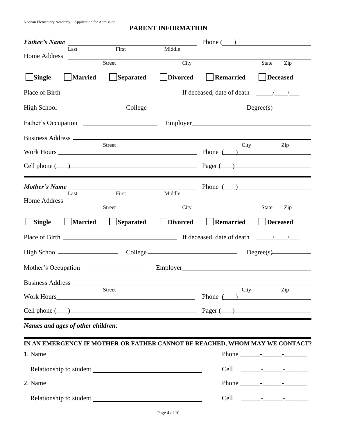#### **PARENT INFORMATION**

| <b>Father's Name</b>              | Last First Middle                                                                                                              |                 |                                                             | Phone $\qquad)$             |
|-----------------------------------|--------------------------------------------------------------------------------------------------------------------------------|-----------------|-------------------------------------------------------------|-----------------------------|
| Home Address                      | <u> Albanya (Albanya)</u>                                                                                                      |                 |                                                             |                             |
|                                   | Street <b>Street</b>                                                                                                           | City            |                                                             | State<br>$\overline{Zip}$   |
| Single                            | <b>Married</b><br>Separated                                                                                                    | <b>Divorced</b> | Remarried                                                   | Deceased                    |
|                                   | Place of Birth Place of Birth                                                                                                  |                 | If deceased, date of death $\frac{1}{\sqrt{1-\frac{1}{2}}}$ |                             |
|                                   |                                                                                                                                |                 |                                                             | College Degree(s) Degree(s) |
|                                   |                                                                                                                                |                 |                                                             |                             |
|                                   |                                                                                                                                |                 |                                                             |                             |
|                                   | Street                                                                                                                         |                 | City                                                        | Zip                         |
|                                   | $Cell$ phone $(\_\_)$                                                                                                          |                 |                                                             |                             |
|                                   | <i>Mother's Name</i>                                                                                                           |                 |                                                             |                             |
| Last<br>Home Address              | First<br><u> 1989 - Johann Harry Harry Harry Harry Harry Harry Harry Harry Harry Harry Harry Harry Harry Harry Harry Harry</u> | Middle          |                                                             |                             |
|                                   | Street                                                                                                                         | City            |                                                             | Zip<br>State                |
| Single                            | <b>Married</b><br><b>Separated</b>                                                                                             | <b>Divorced</b> | <b>Remarried</b>                                            | Deceased                    |
|                                   |                                                                                                                                |                 |                                                             |                             |
|                                   |                                                                                                                                |                 |                                                             |                             |
|                                   | Mother's Occupation                                                                                                            |                 |                                                             |                             |
| Business Address ________         |                                                                                                                                |                 |                                                             |                             |
|                                   | Street                                                                                                                         |                 | City                                                        | Zip<br>Phone $\qquad)$      |
|                                   | $Cell phone$ $(\_)$                                                                                                            |                 |                                                             |                             |
| Names and ages of other children: |                                                                                                                                |                 |                                                             |                             |
|                                   | IN AN EMERGENCY IF MOTHER OR FATHER CANNOT BE REACHED, WHOM MAY WE CONTACT?                                                    |                 |                                                             |                             |
|                                   |                                                                                                                                |                 |                                                             |                             |
|                                   |                                                                                                                                |                 |                                                             |                             |
|                                   | 2. Name                                                                                                                        |                 |                                                             |                             |
|                                   |                                                                                                                                |                 |                                                             |                             |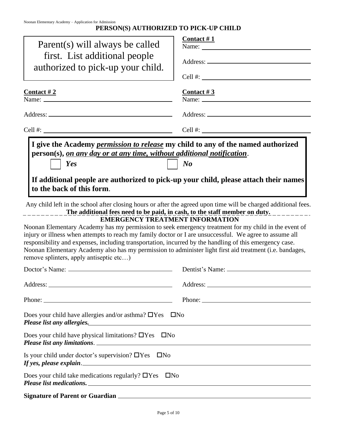#### **PERSON(S) AUTHORIZED TO PICK-UP CHILD**

| Parent(s) will always be called<br>first. List additional people<br>authorized to pick-up your child.                                                                                                                                                                                                                                                                                                                                                                                                                       | Contact $#1$      |
|-----------------------------------------------------------------------------------------------------------------------------------------------------------------------------------------------------------------------------------------------------------------------------------------------------------------------------------------------------------------------------------------------------------------------------------------------------------------------------------------------------------------------------|-------------------|
| <u>Contact #2</u>                                                                                                                                                                                                                                                                                                                                                                                                                                                                                                           | <u>Contact #3</u> |
|                                                                                                                                                                                                                                                                                                                                                                                                                                                                                                                             |                   |
|                                                                                                                                                                                                                                                                                                                                                                                                                                                                                                                             |                   |
| Cell #:                                                                                                                                                                                                                                                                                                                                                                                                                                                                                                                     |                   |
| person(s), on any day or at any time, without additional notification.<br>Yes<br>If additional people are authorized to pick-up your child, please attach their names<br>to the back of this form.<br>Any child left in the school after closing hours or after the agreed upon time will be charged additional fees.<br>The additional fees need to be paid, in cash, to the staff member on duty.                                                                                                                         | $\boldsymbol{N}$  |
| <b>EMERGENCY TREATMENT INFORMATION</b><br>Noonan Elementary Academy has my permission to seek emergency treatment for my child in the event of<br>injury or illness when attempts to reach my family doctor or I are unsuccessful. We agree to assume all<br>responsibility and expenses, including transportation, incurred by the handling of this emergency case.<br>Noonan Elementary Academy also has my permission to administer light first aid treatment (i.e. bandages,<br>remove splinters, apply antiseptic etc) |                   |
|                                                                                                                                                                                                                                                                                                                                                                                                                                                                                                                             |                   |
|                                                                                                                                                                                                                                                                                                                                                                                                                                                                                                                             |                   |
|                                                                                                                                                                                                                                                                                                                                                                                                                                                                                                                             |                   |
| Does your child have allergies and/or asthma? $\Box$ Yes $\Box$ No<br>Please list any allergies.                                                                                                                                                                                                                                                                                                                                                                                                                            |                   |
| Does your child have physical limitations? $\Box$ Yes $\Box$ No<br>Please list any limitations.                                                                                                                                                                                                                                                                                                                                                                                                                             |                   |
| Is your child under doctor's supervision? $\Box$ Yes $\Box$ No                                                                                                                                                                                                                                                                                                                                                                                                                                                              |                   |
| Does your child take medications regularly? $\Box$ Yes $\Box$ No<br>Please list medications.                                                                                                                                                                                                                                                                                                                                                                                                                                |                   |
|                                                                                                                                                                                                                                                                                                                                                                                                                                                                                                                             |                   |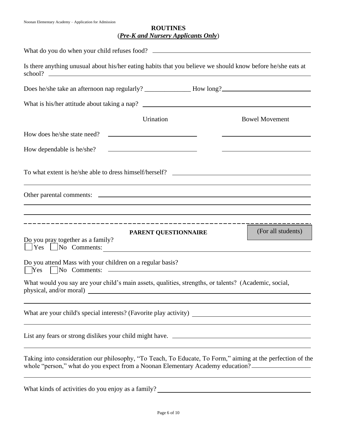#### **ROUTINES** (*Pre-K and Nursery Applicants Only*)

| What do you do when your child refuses food?                                                                                                                                                                                                                                                                                                                                                |
|---------------------------------------------------------------------------------------------------------------------------------------------------------------------------------------------------------------------------------------------------------------------------------------------------------------------------------------------------------------------------------------------|
| Is there anything unusual about his/her eating habits that you believe we should know before he/she eats at                                                                                                                                                                                                                                                                                 |
|                                                                                                                                                                                                                                                                                                                                                                                             |
|                                                                                                                                                                                                                                                                                                                                                                                             |
| Urination<br><b>Bowel Movement</b>                                                                                                                                                                                                                                                                                                                                                          |
| How does he/she state need?                                                                                                                                                                                                                                                                                                                                                                 |
| How dependable is he/she?<br><u> Alexandria de la contrada de la contrada de la contrada de la contrada de la contrada de la contrada de la c</u>                                                                                                                                                                                                                                           |
|                                                                                                                                                                                                                                                                                                                                                                                             |
| <u> 1989 - Johann Stein, marwolaethau a bhann an t-Amhain an t-Amhain an t-Amhain an t-Amhain an t-Amhain an t-A</u><br>and the control of the control of the control of the control of the control of the control of the control of the<br>,我们也不能在这里的时候,我们也不能在这里的时候,我们也不能会不能会不能会不能会不能会不能会不能会不能会不能会不能会。<br>第2012章 我们的时候,我们的时候,我们的时候,我们的时候,我们的时候,我们的时候,我们的时候,我们的时候,我们的时候,我们的时候,我们的时候,我们的时候,我 |
| <u> 1989 - Andrea Santana, amerikana amerikana amerikana amerikana amerikana amerikana amerikana amerikana amerika</u><br>(For all students)<br>PARENT QUESTIONNAIRE<br>Do you pray together as a family?<br>$Yes$ $No$ Comments:                                                                                                                                                           |
| Do you attend Mass with your children on a regular basis?<br>$\vert$ $\vert$ No Comments: $\vert$<br>Yes                                                                                                                                                                                                                                                                                    |
| What would you say are your child's main assets, qualities, strengths, or talents? (Academic, social,<br>physical, and/or moral)                                                                                                                                                                                                                                                            |
| What are your child's special interests? (Favorite play activity)<br><u> 1980 - Andrea Andrew Maria (h. 1980).</u>                                                                                                                                                                                                                                                                          |
|                                                                                                                                                                                                                                                                                                                                                                                             |
| Taking into consideration our philosophy, "To Teach, To Educate, To Form," aiming at the perfection of the<br>whole "person," what do you expect from a Noonan Elementary Academy education?                                                                                                                                                                                                |

What kinds of activities do you enjoy as a family?<br>
<u>Notation and the set of activities</u> do you enjoy as a family?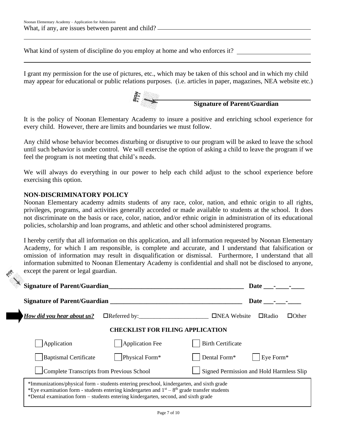What kind of system of discipline do you employ at home and who enforces it?

I grant my permission for the use of pictures, etc., which may be taken of this school and in which my child may appear for educational or public relations purposes. (i.e. articles in paper, magazines, NEA website etc.)



It is the policy of Noonan Elementary Academy to insure a positive and enriching school experience for every child. However, there are limits and boundaries we must follow.

Any child whose behavior becomes disturbing or disruptive to our program will be asked to leave the school until such behavior is under control. We will exercise the option of asking a child to leave the program if we feel the program is not meeting that child's needs.

We will always do everything in our power to help each child adjust to the school experience before exercising this option.

#### **NON-DISCRIMINATORY POLICY**

Noonan Elementary academy admits students of any race, color, nation, and ethnic origin to all rights, privileges, programs, and activities generally accorded or made available to students at the school. It does not discriminate on the basis or race, color, nation, and/or ethnic origin in administration of its educational policies, scholarship and loan programs, and athletic and other school administered programs.

I hereby certify that all information on this application, and all information requested by Noonan Elementary Academy, for which I am responsible, is complete and accurate, and I understand that falsification or omission of information may result in disqualification or dismissal. Furthermore, I understand that all information submitted to Noonan Elementary Academy is confidential and shall not be disclosed to anyone, except the parent or legal guardian.

| <b>Signature of Parent/Guardian</b>                                                                                                                                                                                                                                               | Date                                         |  |
|-----------------------------------------------------------------------------------------------------------------------------------------------------------------------------------------------------------------------------------------------------------------------------------|----------------------------------------------|--|
| <b>Signature of Parent/Guardian</b>                                                                                                                                                                                                                                               | Date                                         |  |
| $\Box$ Referred by: $\Box$<br>How did you hear about us?                                                                                                                                                                                                                          | $\Box$ Radio<br>□NEA Website<br>$\Box$ Other |  |
| <b>CHECKLIST FOR FILING APPLICATION</b>                                                                                                                                                                                                                                           |                                              |  |
| Application Fee<br>Application                                                                                                                                                                                                                                                    | <b>Birth Certificate</b>                     |  |
| Baptismal Certificate<br>Physical Form*                                                                                                                                                                                                                                           | Eye Form*<br>Dental Form*                    |  |
| Complete Transcripts from Previous School                                                                                                                                                                                                                                         | Signed Permission and Hold Harmless Slip     |  |
| *Immunizations/physical form - students entering preschool, kindergarten, and sixth grade<br>*Eye examination form - students entering kindergarten and $1st - 8th$ grade transfer students<br>*Dental examination form – students entering kindergarten, second, and sixth grade |                                              |  |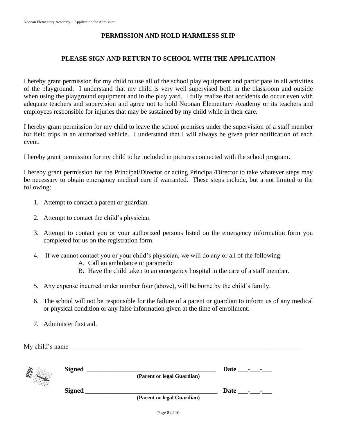#### **PERMISSION AND HOLD HARMLESS SLIP**

#### **PLEASE SIGN AND RETURN TO SCHOOL WITH THE APPLICATION**

I hereby grant permission for my child to use all of the school play equipment and participate in all activities of the playground. I understand that my child is very well supervised both in the classroom and outside when using the playground equipment and in the play yard. I fully realize that accidents do occur even with adequate teachers and supervision and agree not to hold Noonan Elementary Academy or its teachers and employees responsible for injuries that may be sustained by my child while in their care.

I hereby grant permission for my child to leave the school premises under the supervision of a staff member for field trips in an authorized vehicle. I understand that I will always be given prior notification of each event.

I hereby grant permission for my child to be included in pictures connected with the school program.

I hereby grant permission for the Principal/Director or acting Principal/Director to take whatever steps may be necessary to obtain emergency medical care if warranted. These steps include, but a not limited to the following:

- 1. Attempt to contact a parent or guardian.
- 2. Attempt to contact the child's physician.
- 3. Attempt to contact you or your authorized persons listed on the emergency information form you completed for us on the registration form.
- 4. If we cannot contact you or your child's physician, we will do any or all of the following:
	- A. Call an ambulance or paramedic
	- B. Have the child taken to an emergency hospital in the care of a staff member.
- 5. Any expense incurred under number four (above), will be borne by the child's family.
- 6. The school will not be responsible for the failure of a parent or guardian to inform us of any medical or physical condition or any false information given at the time of enrollment.
- 7. Administer first aid.

My child's name

| G - | <b>Signed</b><br>(Parent or legal Guardian) |                            | Date                  |
|-----|---------------------------------------------|----------------------------|-----------------------|
|     | <b>Signed</b>                               | (Parent or legal Guardian) | Date<br>$\sim$ $\sim$ |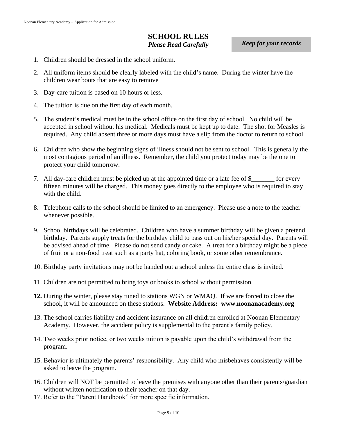#### **SCHOOL RULES** *Please Read Carefully*

*Keep for your records*

- 1. Children should be dressed in the school uniform.
- 2. All uniform items should be clearly labeled with the child's name. During the winter have the children wear boots that are easy to remove
- 3. Day-care tuition is based on 10 hours or less.
- 4. The tuition is due on the first day of each month.
- 5. The student's medical must be in the school office on the first day of school. No child will be accepted in school without his medical. Medicals must be kept up to date. The shot for Measles is required. Any child absent three or more days must have a slip from the doctor to return to school.
- 6. Children who show the beginning signs of illness should not be sent to school. This is generally the most contagious period of an illness. Remember, the child you protect today may be the one to protect your child tomorrow.
- 7. All day-care children must be picked up at the appointed time or a late fee of \$\_\_\_\_\_\_\_ for every fifteen minutes will be charged. This money goes directly to the employee who is required to stay with the child.
- 8. Telephone calls to the school should be limited to an emergency. Please use a note to the teacher whenever possible.
- 9. School birthdays will be celebrated. Children who have a summer birthday will be given a pretend birthday. Parents supply treats for the birthday child to pass out on his/her special day. Parents will be advised ahead of time. Please do not send candy or cake. A treat for a birthday might be a piece of fruit or a non-food treat such as a party hat, coloring book, or some other remembrance.
- 10. Birthday party invitations may not be handed out a school unless the entire class is invited.
- 11. Children are not permitted to bring toys or books to school without permission.
- **12.** During the winter, please stay tuned to stations WGN or WMAQ. If we are forced to close the school, it will be announced on these stations. **Website Address: www.noonanacademy.org**
- 13. The school carries liability and accident insurance on all children enrolled at Noonan Elementary Academy. However, the accident policy is supplemental to the parent's family policy.
- 14. Two weeks prior notice, or two weeks tuition is payable upon the child's withdrawal from the program.
- 15. Behavior is ultimately the parents' responsibility. Any child who misbehaves consistently will be asked to leave the program.
- 16. Children will NOT be permitted to leave the premises with anyone other than their parents/guardian without written notification to their teacher on that day.
- 17. Refer to the "Parent Handbook" for more specific information.